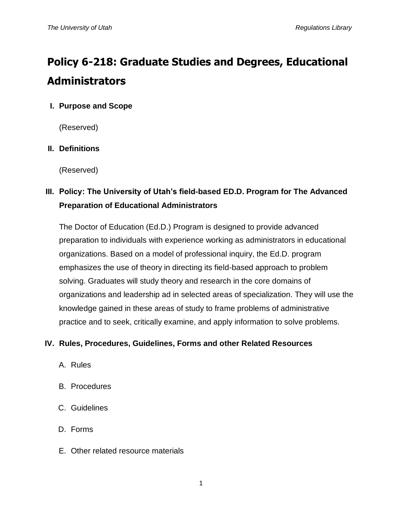# **Policy 6-218: Graduate Studies and Degrees, Educational Administrators**

## **I. Purpose and Scope**

(Reserved)

### **II. Definitions**

(Reserved)

# **III. Policy: The University of Utah's field-based ED.D. Program for The Advanced Preparation of Educational Administrators**

The Doctor of Education (Ed.D.) Program is designed to provide advanced preparation to individuals with experience working as administrators in educational organizations. Based on a model of professional inquiry, the Ed.D. program emphasizes the use of theory in directing its field-based approach to problem solving. Graduates will study theory and research in the core domains of organizations and leadership ad in selected areas of specialization. They will use the knowledge gained in these areas of study to frame problems of administrative practice and to seek, critically examine, and apply information to solve problems.

#### **IV. Rules, Procedures, Guidelines, Forms and other Related Resources**

- A. Rules
- B. Procedures
- C. Guidelines
- D. Forms
- E. Other related resource materials